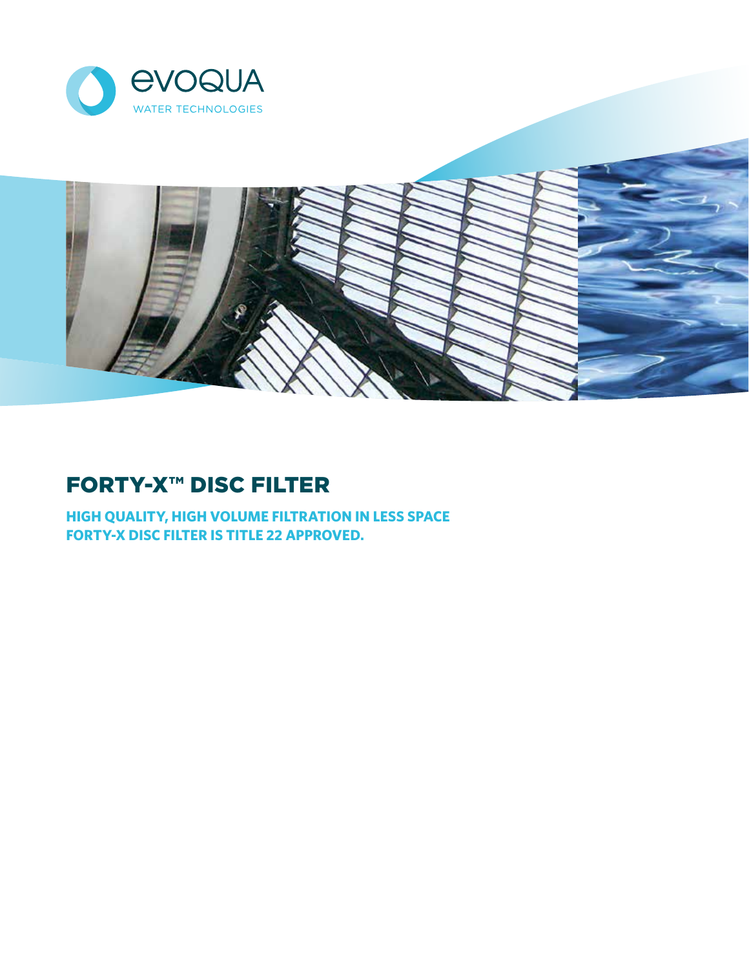



# FORTY-X™ DISC FILTER

**HIGH QUALITY, HIGH VOLUME FILTRATION IN LESS SPACE FORTY-X DISC FILTER IS TITLE 22 APPROVED.**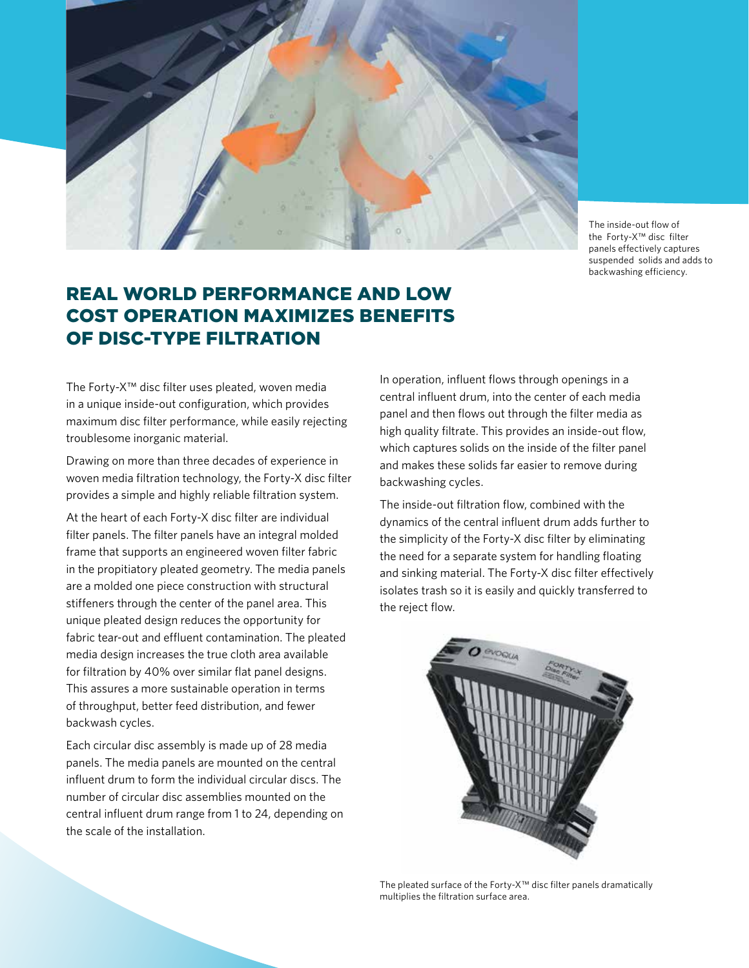

The inside-out flow of the Forty-X™ disc filter panels effectively captures suspended solids and adds to backwashing efficiency.

## REAL WORLD PERFORMANCE AND LOW COST OPERATION MAXIMIZES BENEFITS OF DISC-TYPE FILTRATION

The Forty-X™ disc filter uses pleated, woven media in a unique inside-out configuration, which provides maximum disc filter performance, while easily rejecting troublesome inorganic material.

Drawing on more than three decades of experience in woven media filtration technology, the Forty-X disc filter provides a simple and highly reliable filtration system.

At the heart of each Forty-X disc filter are individual filter panels. The filter panels have an integral molded frame that supports an engineered woven filter fabric in the propitiatory pleated geometry. The media panels are a molded one piece construction with structural stiffeners through the center of the panel area. This unique pleated design reduces the opportunity for fabric tear-out and effluent contamination. The pleated media design increases the true cloth area available for filtration by 40% over similar flat panel designs. This assures a more sustainable operation in terms of throughput, better feed distribution, and fewer backwash cycles.

Each circular disc assembly is made up of 28 media panels. The media panels are mounted on the central influent drum to form the individual circular discs. The number of circular disc assemblies mounted on the central influent drum range from 1 to 24, depending on the scale of the installation.

In operation, influent flows through openings in a central influent drum, into the center of each media panel and then flows out through the filter media as high quality filtrate. This provides an inside-out flow, which captures solids on the inside of the filter panel and makes these solids far easier to remove during backwashing cycles.

The inside-out filtration flow, combined with the dynamics of the central influent drum adds further to the simplicity of the Forty-X disc filter by eliminating the need for a separate system for handling floating and sinking material. The Forty-X disc filter effectively isolates trash so it is easily and quickly transferred to the reject flow.



The pleated surface of the Forty-X™ disc filter panels dramatically multiplies the filtration surface area.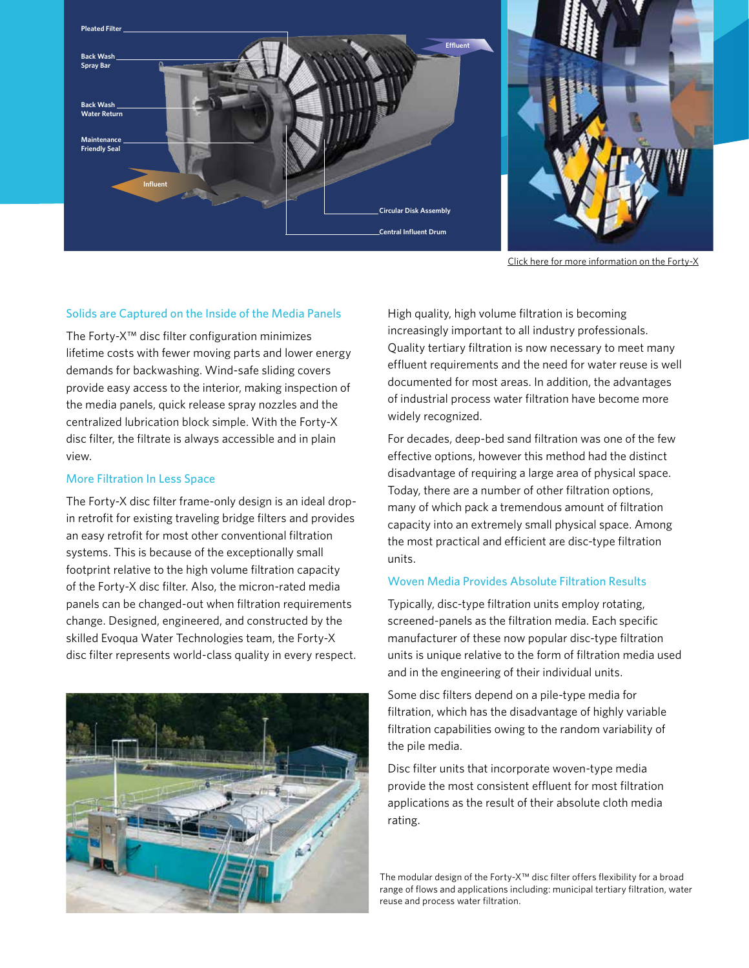

Click here for more information on the Forty-X

#### Solids are Captured on the Inside of the Media Panels

The Forty-X™ disc filter configuration minimizes lifetime costs with fewer moving parts and lower energy demands for backwashing. Wind-safe sliding covers provide easy access to the interior, making inspection of the media panels, quick release spray nozzles and the centralized lubrication block simple. With the Forty-X disc filter, the filtrate is always accessible and in plain view.

#### More Filtration In Less Space

The Forty-X disc filter frame-only design is an ideal dropin retrofit for existing traveling bridge filters and provides an easy retrofit for most other conventional filtration systems. This is because of the exceptionally small footprint relative to the high volume filtration capacity of the Forty-X disc filter. Also, the micron-rated media panels can be changed-out when filtration requirements change. Designed, engineered, and constructed by the skilled Evoqua Water Technologies team, the Forty-X disc filter represents world-class quality in every respect.



High quality, high volume filtration is becoming increasingly important to all industry professionals. Quality tertiary filtration is now necessary to meet many effluent requirements and the need for water reuse is well documented for most areas. In addition, the advantages of industrial process water filtration have become more widely recognized.

For decades, deep-bed sand filtration was one of the few effective options, however this method had the distinct disadvantage of requiring a large area of physical space. Today, there are a number of other filtration options, many of which pack a tremendous amount of filtration capacity into an extremely small physical space. Among the most practical and efficient are disc-type filtration units.

#### Woven Media Provides Absolute Filtration Results

Typically, disc-type filtration units employ rotating, screened-panels as the filtration media. Each specific manufacturer of these now popular disc-type filtration units is unique relative to the form of filtration media used and in the engineering of their individual units.

Some disc filters depend on a pile-type media for filtration, which has the disadvantage of highly variable filtration capabilities owing to the random variability of the pile media.

Disc filter units that incorporate woven-type media provide the most consistent effluent for most filtration applications as the result of their absolute cloth media rating.

The modular design of the Forty-X™ disc filter offers flexibility for a broad range of flows and applications including: municipal tertiary filtration, water reuse and process water filtration.